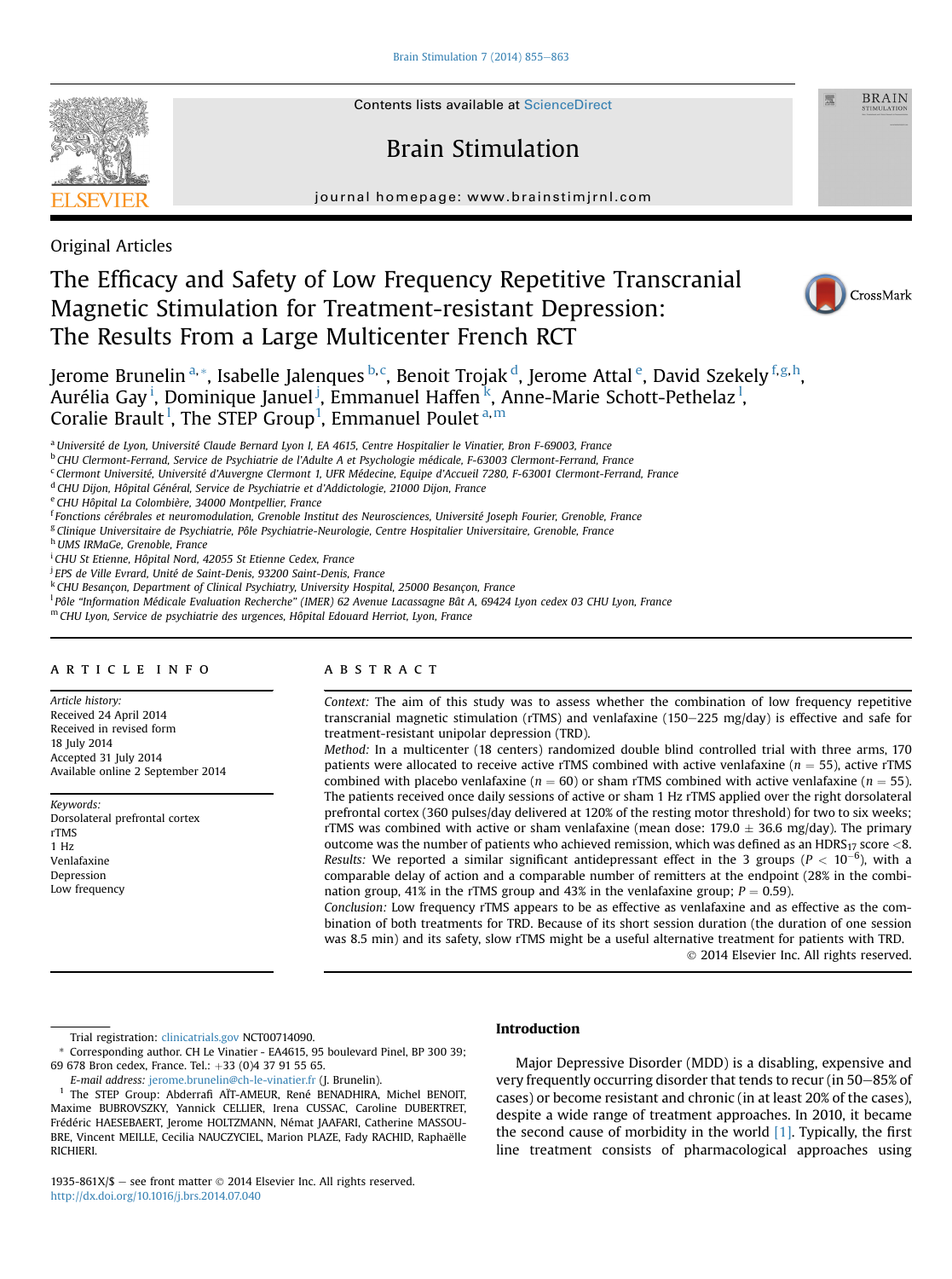

**Contents lists available at ScienceDirect** 

# Brain Stimulation

journal homepage: [www.brainstimjrnl.com](http://www.brainstimjrnl.com)

Original Articles

# The Efficacy and Safety of Low Frequency Repetitive Transcranial Magnetic Stimulation for Treatment-resistant Depression: The Results From a Large Multicenter French RCT



**BRAIN** 

Jerome Brunelin <sup>a,</sup>\*, Isabelle Jalenques <sup>b, c</sup>, Benoit Trojak <sup>d</sup>, Jerome Attal <sup>e</sup>, David Szekely <sup>f, g, h</sup>, Aurélia Gay <sup>i</sup>, Dominique Januel <sup>j</sup>, Emmanuel Haffen <sup>k</sup>, Anne-Marie Schott-Pethelaz <sup>l</sup>, Coralie Brault<sup>1</sup>, The STEP Group<sup>1</sup>, Emmanuel Poulet<sup>a,m</sup>

<sup>a</sup> Université de Lyon, Université Claude Bernard Lyon I, EA 4615, Centre Hospitalier le Vinatier, Bron F-69003, France

<sup>b</sup> CHU Clermont-Ferrand, Service de Psychiatrie de l'Adulte A et Psychologie médicale, F-63003 Clermont-Ferrand, France

<sup>c</sup> Clermont Université, Université d'Auvergne Clermont 1, UFR Médecine, Equipe d'Accueil 7280, F-63001 Clermont-Ferrand, France

<sup>d</sup> CHU Dijon, Hôpital Général, Service de Psychiatrie et d'Addictologie, 21000 Dijon, France

e CHU Hôpital La Colombière, 34000 Montpellier, France

<sup>f</sup>Fonctions cérébrales et neuromodulation, Grenoble Institut des Neurosciences, Université Joseph Fourier, Grenoble, France

<sup>g</sup> Clinique Universitaire de Psychiatrie, Pôle Psychiatrie-Neurologie, Centre Hospitalier Universitaire, Grenoble, France

h UMS IRMaGe, Grenoble, France

<sup>i</sup> CHU St Etienne, Hôpital Nord, 42055 St Etienne Cedex, France

<sup>i</sup> EPS de Ville Evrard, Unité de Saint-Denis, 93200 Saint-Denis, France

k CHU Besançon, Department of Clinical Psychiatry, University Hospital, 25000 Besançon, France

<sup>1</sup> Pôle "Information Médicale Evaluation Recherche" (IMER) 62 Avenue Lacassagne Bât A, 69424 Lyon cedex 03 CHU Lyon, France

<sup>m</sup> CHU Lyon, Service de psychiatrie des urgences, Hôpital Edouard Herriot, Lyon, France

#### article info

Article history: Received 24 April 2014 Received in revised form 18 July 2014 Accepted 31 July 2014 Available online 2 September 2014

Keywords: Dorsolateral prefrontal cortex rTMS 1 Hz Venlafaxine Depression Low frequency

## ABSTRACT

Context: The aim of this study was to assess whether the combination of low frequency repetitive transcranial magnetic stimulation (rTMS) and venlafaxine (150–225 mg/day) is effective and safe for treatment-resistant unipolar depression (TRD).

Method: In a multicenter (18 centers) randomized double blind controlled trial with three arms, 170 patients were allocated to receive active rTMS combined with active venlafaxine ( $n = 55$ ), active rTMS combined with placebo venlafaxine ( $n = 60$ ) or sham rTMS combined with active venlafaxine ( $n = 55$ ). The patients received once daily sessions of active or sham 1 Hz rTMS applied over the right dorsolateral prefrontal cortex (360 pulses/day delivered at 120% of the resting motor threshold) for two to six weeks; rTMS was combined with active or sham venlafaxine (mean dose: 179.0  $\pm$  36.6 mg/day). The primary outcome was the number of patients who achieved remission, which was defined as an HDRS<sub>17</sub> score  $\lt$ 8. Results: We reported a similar significant antidepressant effect in the 3 groups ( $P < 10^{-6}$ ), with a comparable delay of action and a comparable number of remitters at the endpoint (28% in the combination group, 41% in the rTMS group and 43% in the venlafaxine group;  $P = 0.59$ ).

Conclusion: Low frequency rTMS appears to be as effective as venlafaxine and as effective as the combination of both treatments for TRD. Because of its short session duration (the duration of one session was 8.5 min) and its safety, slow rTMS might be a useful alternative treatment for patients with TRD. 2014 Elsevier Inc. All rights reserved.

Trial registration: [clinicatrials.gov](http://clinicatrials.gov) NCT00714090.

\* Corresponding author. CH Le Vinatier - EA4615, 95 boulevard Pinel, BP 300 39; 69 678 Bron cedex, France. Tel.: +33 (0)4 37 91 55 65.

E-mail address: [jerome.brunelin@ch-le-vinatier.fr](mailto:jerome.brunelin@ch-le-vinatier.fr) (J. Brunelin).

<sup>1</sup> The STEP Group: Abderrafi AÏT-AMEUR, René BENADHIRA, Michel BENOIT, Maxime BUBROVSZKY, Yannick CELLIER, Irena CUSSAC, Caroline DUBERTRET, Frédéric HAESEBAERT, Jerome HOLTZMANN, Némat JAAFARI, Catherine MASSOU-BRE, Vincent MEILLE, Cecilia NAUCZYCIEL, Marion PLAZE, Fady RACHID, Raphaëlle RICHIERI.

1935-861X/\$ - see front matter  $\odot$  2014 Elsevier Inc. All rights reserved. <http://dx.doi.org/10.1016/j.brs.2014.07.040>

## Introduction

Major Depressive Disorder (MDD) is a disabling, expensive and very frequently occurring disorder that tends to recur (in 50-85% of cases) or become resistant and chronic (in at least 20% of the cases), despite a wide range of treatment approaches. In 2010, it became the second cause of morbidity in the world [\[1\]](#page-7-0). Typically, the first line treatment consists of pharmacological approaches using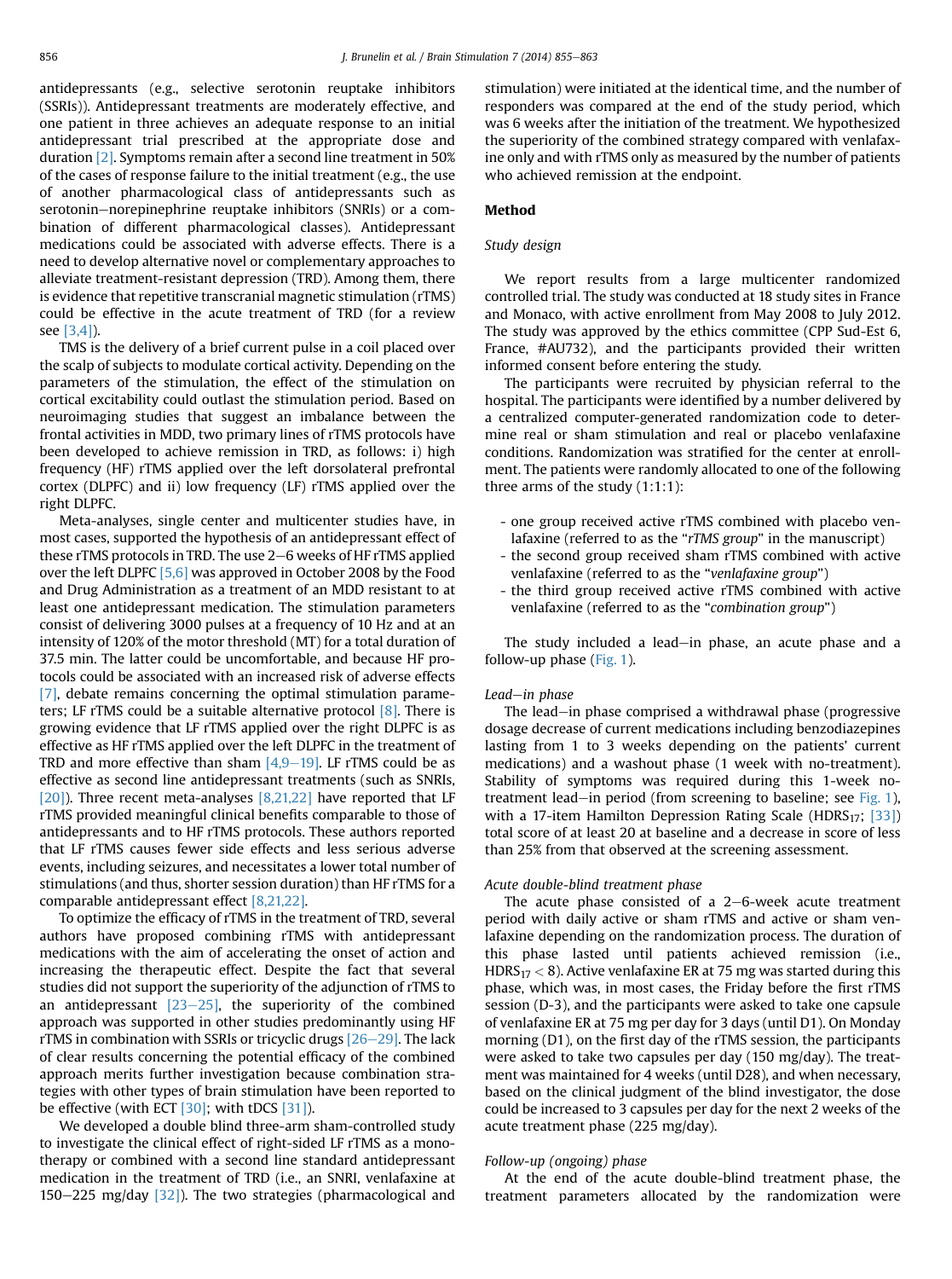antidepressants (e.g., selective serotonin reuptake inhibitors (SSRIs)). Antidepressant treatments are moderately effective, and one patient in three achieves an adequate response to an initial antidepressant trial prescribed at the appropriate dose and duration [\[2\].](#page-7-0) Symptoms remain after a second line treatment in 50% of the cases of response failure to the initial treatment (e.g., the use of another pharmacological class of antidepressants such as serotonin-norepinephrine reuptake inhibitors (SNRIs) or a combination of different pharmacological classes). Antidepressant medications could be associated with adverse effects. There is a need to develop alternative novel or complementary approaches to alleviate treatment-resistant depression (TRD). Among them, there is evidence that repetitive transcranial magnetic stimulation (rTMS) could be effective in the acute treatment of TRD (for a review see [\[3,4\]\)](#page-7-0).

TMS is the delivery of a brief current pulse in a coil placed over the scalp of subjects to modulate cortical activity. Depending on the parameters of the stimulation, the effect of the stimulation on cortical excitability could outlast the stimulation period. Based on neuroimaging studies that suggest an imbalance between the frontal activities in MDD, two primary lines of rTMS protocols have been developed to achieve remission in TRD, as follows: i) high frequency (HF) rTMS applied over the left dorsolateral prefrontal cortex (DLPFC) and ii) low frequency (LF) rTMS applied over the right DLPFC.

Meta-analyses, single center and multicenter studies have, in most cases, supported the hypothesis of an antidepressant effect of these rTMS protocols in TRD. The use 2-6 weeks of HF rTMS applied over the left DLPFC [\[5,6\]](#page-7-0) was approved in October 2008 by the Food and Drug Administration as a treatment of an MDD resistant to at least one antidepressant medication. The stimulation parameters consist of delivering 3000 pulses at a frequency of 10 Hz and at an intensity of 120% of the motor threshold (MT) for a total duration of 37.5 min. The latter could be uncomfortable, and because HF protocols could be associated with an increased risk of adverse effects [\[7\],](#page-7-0) debate remains concerning the optimal stimulation parameters; LF rTMS could be a suitable alternative protocol  $[8]$ . There is growing evidence that LF rTMS applied over the right DLPFC is as effective as HF rTMS applied over the left DLPFC in the treatment of TRD and more effective than sham  $[4,9-19]$  $[4,9-19]$  $[4,9-19]$ . LF rTMS could be as effective as second line antidepressant treatments (such as SNRIs, [\[20\]](#page-7-0)). Three recent meta-analyses [\[8,21,22\]](#page-7-0) have reported that LF rTMS provided meaningful clinical benefits comparable to those of antidepressants and to HF rTMS protocols. These authors reported that LF rTMS causes fewer side effects and less serious adverse events, including seizures, and necessitates a lower total number of stimulations (and thus, shorter session duration) than HF rTMS for a comparable antidepressant effect [\[8,21,22\].](#page-7-0)

To optimize the efficacy of rTMS in the treatment of TRD, several authors have proposed combining rTMS with antidepressant medications with the aim of accelerating the onset of action and increasing the therapeutic effect. Despite the fact that several studies did not support the superiority of the adjunction of rTMS to an antidepressant  $[23-25]$  $[23-25]$  $[23-25]$ , the superiority of the combined approach was supported in other studies predominantly using HF rTMS in combination with SSRIs or tricyclic drugs  $[26-29]$  $[26-29]$  $[26-29]$ . The lack of clear results concerning the potential efficacy of the combined approach merits further investigation because combination strategies with other types of brain stimulation have been reported to be effective (with ECT  $[30]$ ; with tDCS  $[31]$ ).

We developed a double blind three-arm sham-controlled study to investigate the clinical effect of right-sided LF rTMS as a monotherapy or combined with a second line standard antidepressant medication in the treatment of TRD (i.e., an SNRI, venlafaxine at  $150-225$  mg/day  $[32]$ ). The two strategies (pharmacological and stimulation) were initiated at the identical time, and the number of responders was compared at the end of the study period, which was 6 weeks after the initiation of the treatment. We hypothesized the superiority of the combined strategy compared with venlafaxine only and with rTMS only as measured by the number of patients who achieved remission at the endpoint.

## Method

## Study design

We report results from a large multicenter randomized controlled trial. The study was conducted at 18 study sites in France and Monaco, with active enrollment from May 2008 to July 2012. The study was approved by the ethics committee (CPP Sud-Est 6, France, #AU732), and the participants provided their written informed consent before entering the study.

The participants were recruited by physician referral to the hospital. The participants were identified by a number delivered by a centralized computer-generated randomization code to determine real or sham stimulation and real or placebo venlafaxine conditions. Randomization was stratified for the center at enrollment. The patients were randomly allocated to one of the following three arms of the study (1:1:1):

- one group received active rTMS combined with placebo venlafaxine (referred to as the "rTMS group" in the manuscript)
- the second group received sham rTMS combined with active venlafaxine (referred to as the "venlafaxine group")
- the third group received active rTMS combined with active venlafaxine (referred to as the "combination group")

The study included a lead-in phase, an acute phase and a follow-up phase ([Fig. 1](#page-2-0)).

## Lead-in phase

The lead-in phase comprised a withdrawal phase (progressive dosage decrease of current medications including benzodiazepines lasting from 1 to 3 weeks depending on the patients' current medications) and a washout phase (1 week with no-treatment). Stability of symptoms was required during this 1-week no-treatment lead-in period (from screening to baseline; see [Fig. 1](#page-2-0)), with a 17-item Hamilton Depression Rating Scale (HDRS<sub>17</sub>; [\[33\]](#page-7-0)) total score of at least 20 at baseline and a decrease in score of less than 25% from that observed at the screening assessment.

#### Acute double-blind treatment phase

The acute phase consisted of a  $2-6$ -week acute treatment period with daily active or sham rTMS and active or sham venlafaxine depending on the randomization process. The duration of this phase lasted until patients achieved remission (i.e.,  $HDRS<sub>17</sub> < 8$ ). Active venlafaxine ER at 75 mg was started during this phase, which was, in most cases, the Friday before the first rTMS session (D-3), and the participants were asked to take one capsule of venlafaxine ER at 75 mg per day for 3 days (until D1). On Monday morning (D1), on the first day of the rTMS session, the participants were asked to take two capsules per day (150 mg/day). The treatment was maintained for 4 weeks (until D28), and when necessary, based on the clinical judgment of the blind investigator, the dose could be increased to 3 capsules per day for the next 2 weeks of the acute treatment phase (225 mg/day).

#### Follow-up (ongoing) phase

At the end of the acute double-blind treatment phase, the treatment parameters allocated by the randomization were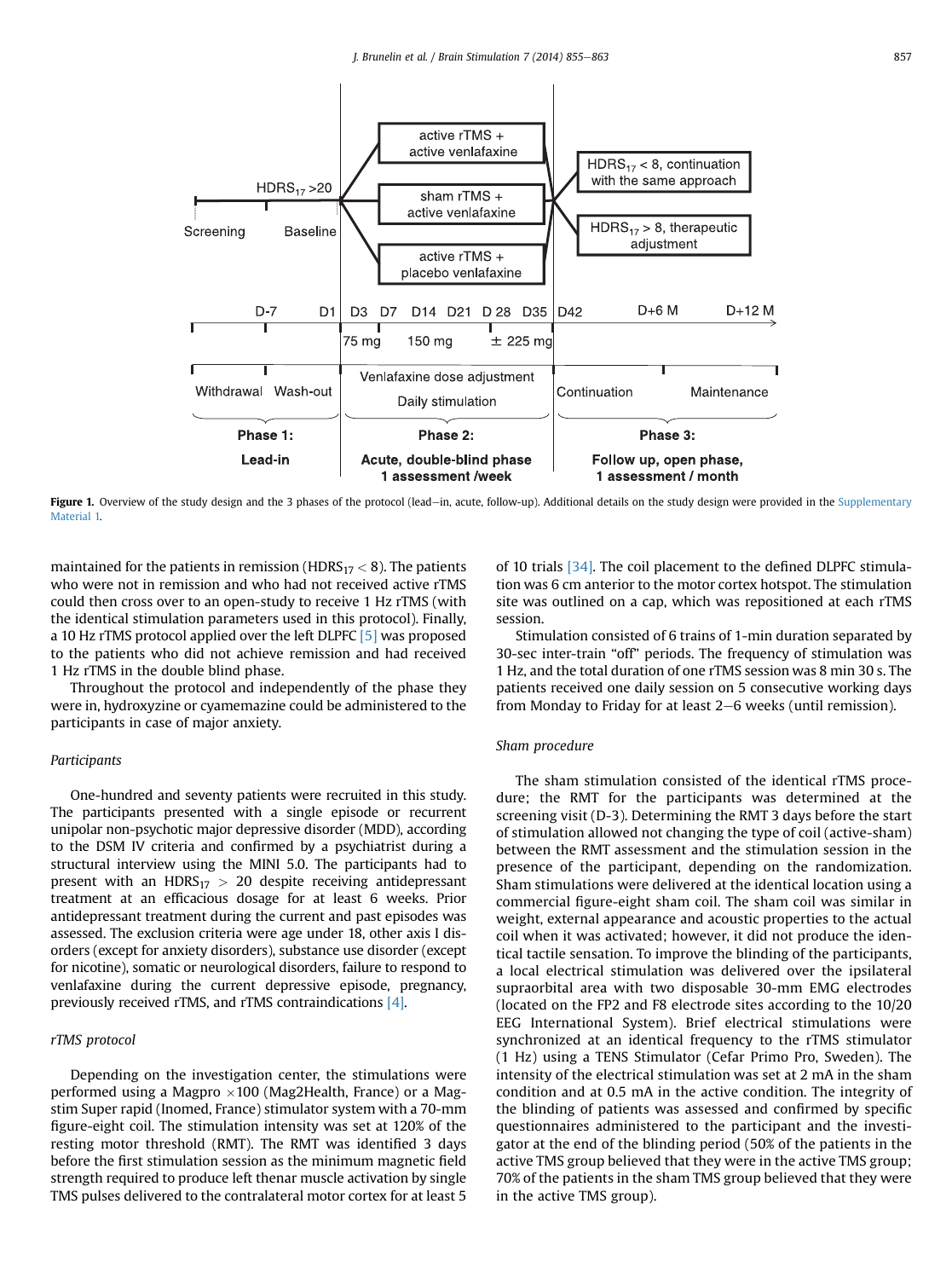<span id="page-2-0"></span>

Figure 1. Overview of the study design and the 3 phases of the protocol (lead-in, acute, follow-up). Additional details on the study design were provided in the Supplementary Material 1.

maintained for the patients in remission (HDRS $_{17}$  < 8). The patients who were not in remission and who had not received active rTMS could then cross over to an open-study to receive 1 Hz rTMS (with the identical stimulation parameters used in this protocol). Finally, a 10 Hz rTMS protocol applied over the left DLPFC [\[5\]](#page-7-0) was proposed to the patients who did not achieve remission and had received 1 Hz rTMS in the double blind phase.

Throughout the protocol and independently of the phase they were in, hydroxyzine or cyamemazine could be administered to the participants in case of major anxiety.

## Participants

One-hundred and seventy patients were recruited in this study. The participants presented with a single episode or recurrent unipolar non-psychotic major depressive disorder (MDD), according to the DSM IV criteria and confirmed by a psychiatrist during a structural interview using the MINI 5.0. The participants had to present with an  $HDRS_{17} > 20$  despite receiving antidepressant treatment at an efficacious dosage for at least 6 weeks. Prior antidepressant treatment during the current and past episodes was assessed. The exclusion criteria were age under 18, other axis I disorders (except for anxiety disorders), substance use disorder (except for nicotine), somatic or neurological disorders, failure to respond to venlafaxine during the current depressive episode, pregnancy, previously received rTMS, and rTMS contraindications [\[4\].](#page-7-0)

## rTMS protocol

Depending on the investigation center, the stimulations were performed using a Magpro  $\times 100$  (Mag2Health, France) or a Magstim Super rapid (Inomed, France) stimulator system with a 70-mm figure-eight coil. The stimulation intensity was set at 120% of the resting motor threshold (RMT). The RMT was identified 3 days before the first stimulation session as the minimum magnetic field strength required to produce left thenar muscle activation by single TMS pulses delivered to the contralateral motor cortex for at least 5 of 10 trials [\[34\].](#page-7-0) The coil placement to the defined DLPFC stimulation was 6 cm anterior to the motor cortex hotspot. The stimulation site was outlined on a cap, which was repositioned at each rTMS session.

Stimulation consisted of 6 trains of 1-min duration separated by 30-sec inter-train "off" periods. The frequency of stimulation was 1 Hz, and the total duration of one rTMS session was 8 min 30 s. The patients received one daily session on 5 consecutive working days from Monday to Friday for at least  $2-6$  weeks (until remission).

#### Sham procedure

The sham stimulation consisted of the identical rTMS procedure; the RMT for the participants was determined at the screening visit (D-3). Determining the RMT 3 days before the start of stimulation allowed not changing the type of coil (active-sham) between the RMT assessment and the stimulation session in the presence of the participant, depending on the randomization. Sham stimulations were delivered at the identical location using a commercial figure-eight sham coil. The sham coil was similar in weight, external appearance and acoustic properties to the actual coil when it was activated; however, it did not produce the identical tactile sensation. To improve the blinding of the participants, a local electrical stimulation was delivered over the ipsilateral supraorbital area with two disposable 30-mm EMG electrodes (located on the FP2 and F8 electrode sites according to the 10/20 EEG International System). Brief electrical stimulations were synchronized at an identical frequency to the rTMS stimulator (1 Hz) using a TENS Stimulator (Cefar Primo Pro, Sweden). The intensity of the electrical stimulation was set at 2 mA in the sham condition and at 0.5 mA in the active condition. The integrity of the blinding of patients was assessed and confirmed by specific questionnaires administered to the participant and the investigator at the end of the blinding period (50% of the patients in the active TMS group believed that they were in the active TMS group; 70% of the patients in the sham TMS group believed that they were in the active TMS group).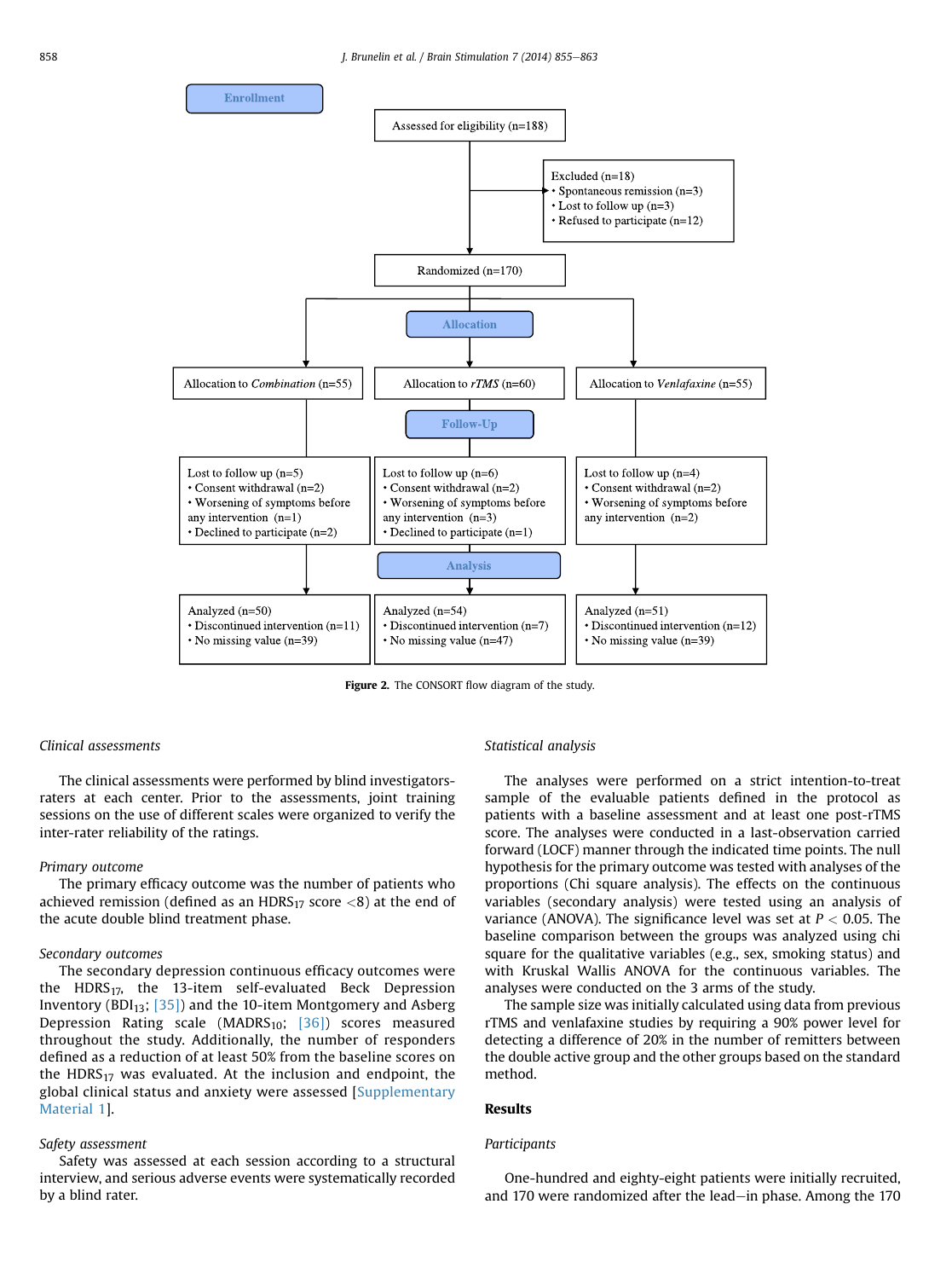<span id="page-3-0"></span>

Figure 2. The CONSORT flow diagram of the study.

#### Clinical assessments

The clinical assessments were performed by blind investigatorsraters at each center. Prior to the assessments, joint training sessions on the use of different scales were organized to verify the inter-rater reliability of the ratings.

## Primary outcome

The primary efficacy outcome was the number of patients who achieved remission (defined as an  $HDRS_{17}$  score  $\langle 8 \rangle$  at the end of the acute double blind treatment phase.

#### Secondary outcomes

The secondary depression continuous efficacy outcomes were the  $HDRS<sub>17</sub>$ , the 13-item self-evaluated Beck Depression Inventory (BDI $_{13}$ ; [\[35\]\)](#page-7-0) and the 10-item Montgomery and Asberg Depression Rating scale (MADRS<sub>10</sub>; [\[36\]\)](#page-7-0) scores measured throughout the study. Additionally, the number of responders defined as a reduction of at least 50% from the baseline scores on the  $HDRS_{17}$  was evaluated. At the inclusion and endpoint, the global clinical status and anxiety were assessed [Supplementary Material 1].

## Safety assessment

Safety was assessed at each session according to a structural interview, and serious adverse events were systematically recorded by a blind rater.

## Statistical analysis

The analyses were performed on a strict intention-to-treat sample of the evaluable patients defined in the protocol as patients with a baseline assessment and at least one post-rTMS score. The analyses were conducted in a last-observation carried forward (LOCF) manner through the indicated time points. The null hypothesis for the primary outcome was tested with analyses of the proportions (Chi square analysis). The effects on the continuous variables (secondary analysis) were tested using an analysis of variance (ANOVA). The significance level was set at  $P < 0.05$ . The baseline comparison between the groups was analyzed using chi square for the qualitative variables (e.g., sex, smoking status) and with Kruskal Wallis ANOVA for the continuous variables. The analyses were conducted on the 3 arms of the study.

The sample size was initially calculated using data from previous rTMS and venlafaxine studies by requiring a 90% power level for detecting a difference of 20% in the number of remitters between the double active group and the other groups based on the standard method.

#### Results

#### **Participants**

One-hundred and eighty-eight patients were initially recruited, and 170 were randomized after the lead-in phase. Among the 170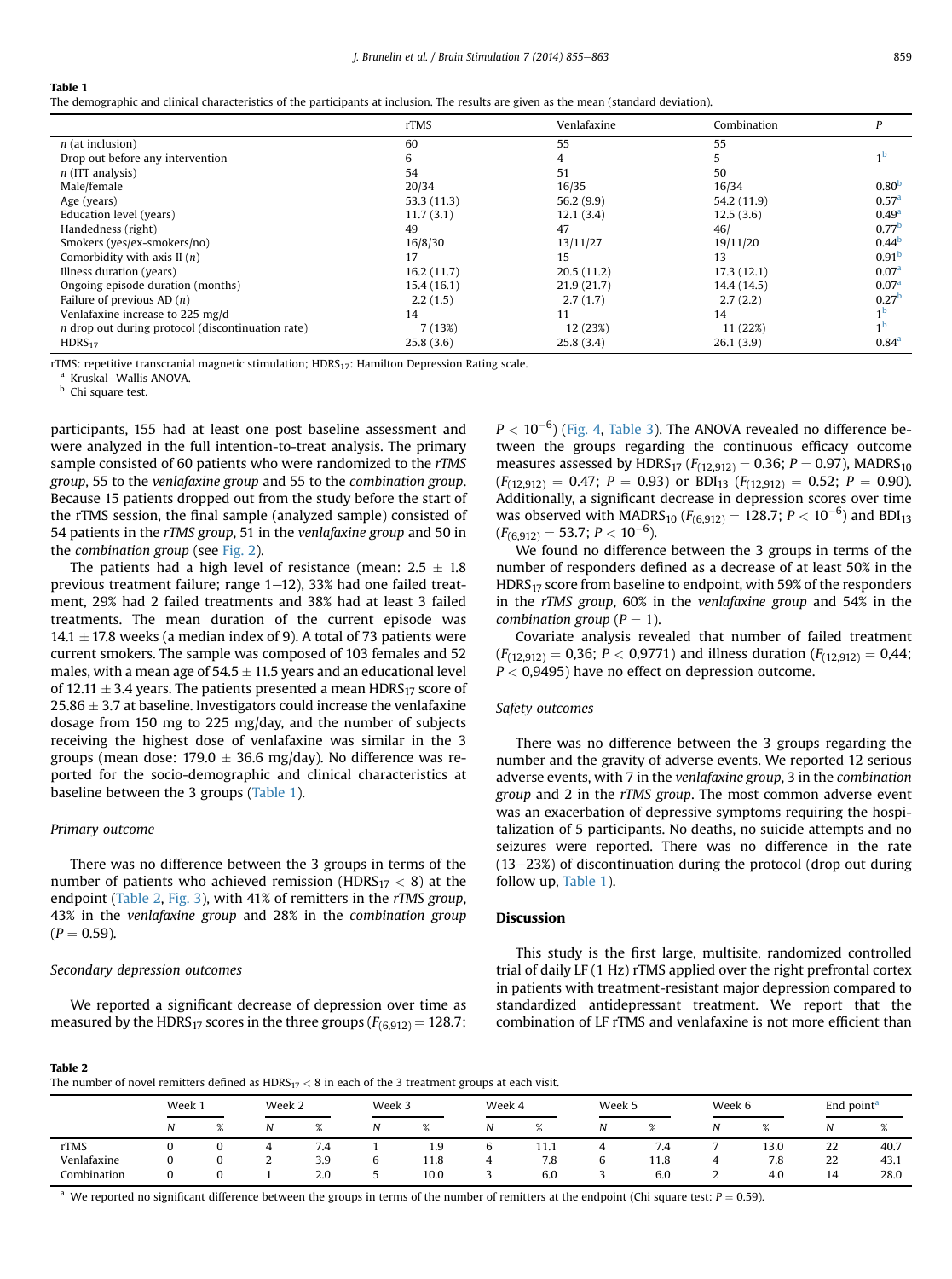#### Table 1

The demographic and clinical characteristics of the participants at inclusion. The results are given as the mean (standard deviation).

|                                                     | rTMS       | Venlafaxine | Combination | P                 |
|-----------------------------------------------------|------------|-------------|-------------|-------------------|
| $n$ (at inclusion)                                  | 60         | 55          | 55          |                   |
| Drop out before any intervention                    | 6          | 4           | 5           |                   |
| $n$ (ITT analysis)                                  | 54         | 51          | 50          |                   |
| Male/female                                         | 20/34      | 16/35       | 16/34       | 0.80 <sup>b</sup> |
| Age (years)                                         | 53.3(11.3) | 56.2(9.9)   | 54.2 (11.9) | 0.57 <sup>a</sup> |
| Education level (years)                             | 11.7(3.1)  | 12.1(3.4)   | 12.5(3.6)   | 0.49 <sup>a</sup> |
| Handedness (right)                                  | 49         | 47          | 46/         | 0.77 <sup>b</sup> |
| Smokers (yes/ex-smokers/no)                         | 16/8/30    | 13/11/27    | 19/11/20    | 0.44 <sup>b</sup> |
| Comorbidity with axis $II(n)$                       | 17         | 15          | 13          | 0.91 <sup>b</sup> |
| Illness duration (years)                            | 16.2(11.7) | 20.5(11.2)  | 17.3(12.1)  | 0.07 <sup>a</sup> |
| Ongoing episode duration (months)                   | 15.4(16.1) | 21.9(21.7)  | 14.4 (14.5) | 0.07 <sup>a</sup> |
| Failure of previous AD $(n)$                        | 2.2(1.5)   | 2.7(1.7)    | 2.7(2.2)    | 0.27 <sup>b</sup> |
| Venlafaxine increase to 225 mg/d                    | 14         | 11          | 14          | 1 <sup>b</sup>    |
| $n$ drop out during protocol (discontinuation rate) | 7(13%)     | 12 (23%)    | 11 (22%)    | 1 <sup>b</sup>    |
| HDRS <sub>17</sub>                                  | 25.8(3.6)  | 25.8(3.4)   | 26.1(3.9)   | 0.84 <sup>a</sup> |

rTMS: repetitive transcranial magnetic stimulation; HDRS<sub>17</sub>: Hamilton Depression Rating scale.<br><sup>a</sup> Kruskal–Wallis ANOVA.

**b** Chi square test.

participants, 155 had at least one post baseline assessment and were analyzed in the full intention-to-treat analysis. The primary sample consisted of 60 patients who were randomized to the rTMS group, 55 to the venlafaxine group and 55 to the combination group. Because 15 patients dropped out from the study before the start of the rTMS session, the final sample (analyzed sample) consisted of 54 patients in the rTMS group, 51 in the venlafaxine group and 50 in the combination group (see [Fig. 2\)](#page-3-0).

The patients had a high level of resistance (mean:  $2.5 \pm 1.8$ previous treatment failure; range  $1-12$ ), 33% had one failed treatment, 29% had 2 failed treatments and 38% had at least 3 failed treatments. The mean duration of the current episode was  $14.1 \pm 17.8$  weeks (a median index of 9). A total of 73 patients were current smokers. The sample was composed of 103 females and 52 males, with a mean age of 54.5  $\pm$  11.5 years and an educational level of 12.11  $\pm$  3.4 years. The patients presented a mean HDRS<sub>17</sub> score of  $25.86 \pm 3.7$  at baseline. Investigators could increase the venlafaxine dosage from 150 mg to 225 mg/day, and the number of subjects receiving the highest dose of venlafaxine was similar in the 3 groups (mean dose:  $179.0 \pm 36.6$  mg/day). No difference was reported for the socio-demographic and clinical characteristics at baseline between the 3 groups (Table 1).

#### Primary outcome

There was no difference between the 3 groups in terms of the number of patients who achieved remission (HDRS $_{17}$  < 8) at the endpoint (Table 2, [Fig. 3](#page-5-0)), with 41% of remitters in the rTMS group, 43% in the venlafaxine group and 28% in the combination group  $(P = 0.59)$ .

#### Secondary depression outcomes

We reported a significant decrease of depression over time as measured by the HDRS<sub>17</sub> scores in the three groups ( $F_{(6,912)} = 128.7$ ;

 $P < 10^{-6}$ ) [\(Fig. 4,](#page-5-0) [Table 3\)](#page-6-0). The ANOVA revealed no difference between the groups regarding the continuous efficacy outcome measures assessed by HDRS<sub>17</sub> ( $F_{(12,912)} = 0.36$ ;  $P = 0.97$ ), MADRS<sub>10</sub>  $(F_{(12.912)} = 0.47; P = 0.93)$  or BDI<sub>13</sub>  $(F_{(12.912)} = 0.52; P = 0.90)$ . Additionally, a significant decrease in depression scores over time was observed with MADRS<sub>10</sub> ( $F_{(6,912)} = 128.7$ ;  $P < 10^{-6}$ ) and BDI<sub>13</sub>  $(F_{(6,912)} = 53.7; P < 10^{-6}).$ 

We found no difference between the 3 groups in terms of the number of responders defined as a decrease of at least 50% in the HDRS<sub>17</sub> score from baseline to endpoint, with 59% of the responders in the rTMS group, 60% in the venlafaxine group and 54% in the combination group ( $P = 1$ ).

Covariate analysis revealed that number of failed treatment  $(F_{(12,912)} = 0,36; P < 0,9771)$  and illness duration  $(F_{(12,912)} = 0,44;$  $P < 0.9495$ ) have no effect on depression outcome.

#### Safety outcomes

There was no difference between the 3 groups regarding the number and the gravity of adverse events. We reported 12 serious adverse events, with 7 in the venlafaxine group, 3 in the combination group and 2 in the rTMS group. The most common adverse event was an exacerbation of depressive symptoms requiring the hospitalization of 5 participants. No deaths, no suicide attempts and no seizures were reported. There was no difference in the rate  $(13-23%)$  of discontinuation during the protocol (drop out during follow up, Table 1).

#### Discussion

This study is the first large, multisite, randomized controlled trial of daily LF (1 Hz) rTMS applied over the right prefrontal cortex in patients with treatment-resistant major depression compared to standardized antidepressant treatment. We report that the combination of LF rTMS and venlafaxine is not more efficient than

#### Table 2

The number of novel remitters defined as  $HDRS<sub>17</sub> < 8$  in each of the 3 treatment groups at each visit.

|             | Week 1 |          | Week 2   |                        | Week 3 |                |   | Week 4         |                          | Week 5                          |        | Week 6         |              | End point <sup>a</sup> |  |
|-------------|--------|----------|----------|------------------------|--------|----------------|---|----------------|--------------------------|---------------------------------|--------|----------------|--------------|------------------------|--|
|             | N      | $\Omega$ |          | $\alpha$<br>$\sqrt{2}$ | Ν      | $\alpha$<br>70 |   | $\alpha$<br>70 | N                        | $\mathsf{o}/$<br>76             |        | $\alpha$<br>70 |              | $\alpha$<br>70         |  |
| rTMS        | v      |          |          | 7.4                    |        | 1.9            | b | 11.1           |                          | $\overline{\phantom{a}}$<br>7.4 | -      | 13.0           | $\sim$<br>ZZ | 40.7                   |  |
| Venlafaxine | Ü      |          | <u>.</u> | 3.9                    | ∽<br>ь | 11.8           | 4 | 7.8            | $\overline{\phantom{a}}$ | 11.8                            | 4      | 7.8            | 22           | 43.1                   |  |
| Combination |        |          |          | 2.0                    |        | 10.0           | ∽ | 6.0            | $\overline{\phantom{0}}$ | 6.0                             | ີ<br>∼ | 4.0            | 14           | 28.0                   |  |

<sup>a</sup> We reported no significant difference between the groups in terms of the number of remitters at the endpoint (Chi square test:  $P = 0.59$ ).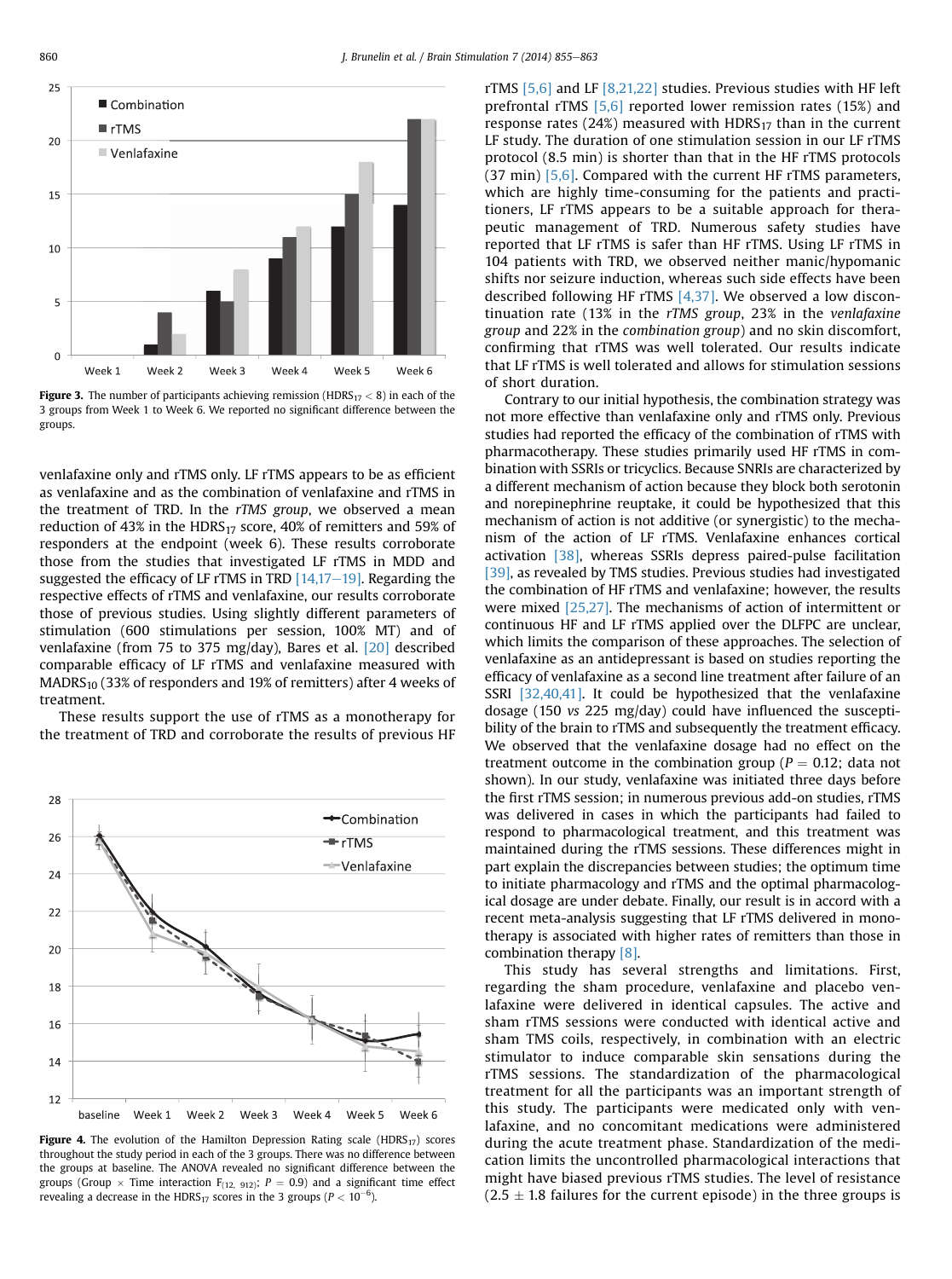<span id="page-5-0"></span>

Figure 3. The number of participants achieving remission (HDRS $_{17}$  < 8) in each of the 3 groups from Week 1 to Week 6. We reported no significant difference between the groups.

venlafaxine only and rTMS only. LF rTMS appears to be as efficient as venlafaxine and as the combination of venlafaxine and rTMS in the treatment of TRD. In the rTMS group, we observed a mean reduction of 43% in the HDRS<sub>17</sub> score, 40% of remitters and 59% of responders at the endpoint (week 6). These results corroborate those from the studies that investigated LF rTMS in MDD and suggested the efficacy of LF rTMS in TRD  $[14,17-19]$  $[14,17-19]$ . Regarding the respective effects of rTMS and venlafaxine, our results corroborate those of previous studies. Using slightly different parameters of stimulation (600 stimulations per session, 100% MT) and of venlafaxine (from 75 to 375 mg/day), Bares et al. [\[20\]](#page-7-0) described comparable efficacy of LF rTMS and venlafaxine measured with  $MADRS<sub>10</sub>$  (33% of responders and 19% of remitters) after 4 weeks of treatment.

These results support the use of rTMS as a monotherapy for the treatment of TRD and corroborate the results of previous HF



Figure 4. The evolution of the Hamilton Depression Rating scale (HDRS<sub>17</sub>) scores throughout the study period in each of the 3 groups. There was no difference between the groups at baseline. The ANOVA revealed no significant difference between the groups (Group  $\times$  Time interaction  $F_{(12, 912)}$ ;  $P = 0.9$ ) and a significant time effect revealing a decrease in the HDRS<sub>17</sub> scores in the 3 groups ( $P < 10^{-6}$ ).

rTMS  $[5,6]$  and LF  $[8,21,22]$  studies. Previous studies with HF left prefrontal rTMS [\[5,6\]](#page-7-0) reported lower remission rates (15%) and response rates  $(24%)$  measured with HDRS<sub>17</sub> than in the current LF study. The duration of one stimulation session in our LF rTMS protocol (8.5 min) is shorter than that in the HF rTMS protocols (37 min) [\[5,6\]](#page-7-0). Compared with the current HF rTMS parameters, which are highly time-consuming for the patients and practitioners, LF rTMS appears to be a suitable approach for therapeutic management of TRD. Numerous safety studies have reported that LF rTMS is safer than HF rTMS. Using LF rTMS in 104 patients with TRD, we observed neither manic/hypomanic shifts nor seizure induction, whereas such side effects have been described following HF  $rTMS$   $[4,37]$ . We observed a low discontinuation rate (13% in the rTMS group, 23% in the venlafaxine group and 22% in the combination group) and no skin discomfort, confirming that rTMS was well tolerated. Our results indicate that LF rTMS is well tolerated and allows for stimulation sessions of short duration.

Contrary to our initial hypothesis, the combination strategy was not more effective than venlafaxine only and rTMS only. Previous studies had reported the efficacy of the combination of rTMS with pharmacotherapy. These studies primarily used HF rTMS in combination with SSRIs or tricyclics. Because SNRIs are characterized by a different mechanism of action because they block both serotonin and norepinephrine reuptake, it could be hypothesized that this mechanism of action is not additive (or synergistic) to the mechanism of the action of LF rTMS. Venlafaxine enhances cortical activation [\[38\],](#page-8-0) whereas SSRIs depress paired-pulse facilitation [\[39\],](#page-8-0) as revealed by TMS studies. Previous studies had investigated the combination of HF rTMS and venlafaxine; however, the results were mixed [\[25,27\].](#page-7-0) The mechanisms of action of intermittent or continuous HF and LF rTMS applied over the DLFPC are unclear, which limits the comparison of these approaches. The selection of venlafaxine as an antidepressant is based on studies reporting the efficacy of venlafaxine as a second line treatment after failure of an SSRI  $[32,40,41]$ . It could be hypothesized that the venlafaxine dosage (150 vs 225 mg/day) could have influenced the susceptibility of the brain to rTMS and subsequently the treatment efficacy. We observed that the venlafaxine dosage had no effect on the treatment outcome in the combination group ( $P = 0.12$ ; data not shown). In our study, venlafaxine was initiated three days before the first rTMS session; in numerous previous add-on studies, rTMS was delivered in cases in which the participants had failed to respond to pharmacological treatment, and this treatment was maintained during the rTMS sessions. These differences might in part explain the discrepancies between studies; the optimum time to initiate pharmacology and rTMS and the optimal pharmacological dosage are under debate. Finally, our result is in accord with a recent meta-analysis suggesting that LF rTMS delivered in monotherapy is associated with higher rates of remitters than those in combination therapy [\[8\].](#page-7-0)

This study has several strengths and limitations. First, regarding the sham procedure, venlafaxine and placebo venlafaxine were delivered in identical capsules. The active and sham rTMS sessions were conducted with identical active and sham TMS coils, respectively, in combination with an electric stimulator to induce comparable skin sensations during the rTMS sessions. The standardization of the pharmacological treatment for all the participants was an important strength of this study. The participants were medicated only with venlafaxine, and no concomitant medications were administered during the acute treatment phase. Standardization of the medication limits the uncontrolled pharmacological interactions that might have biased previous rTMS studies. The level of resistance  $(2.5 \pm 1.8$  failures for the current episode) in the three groups is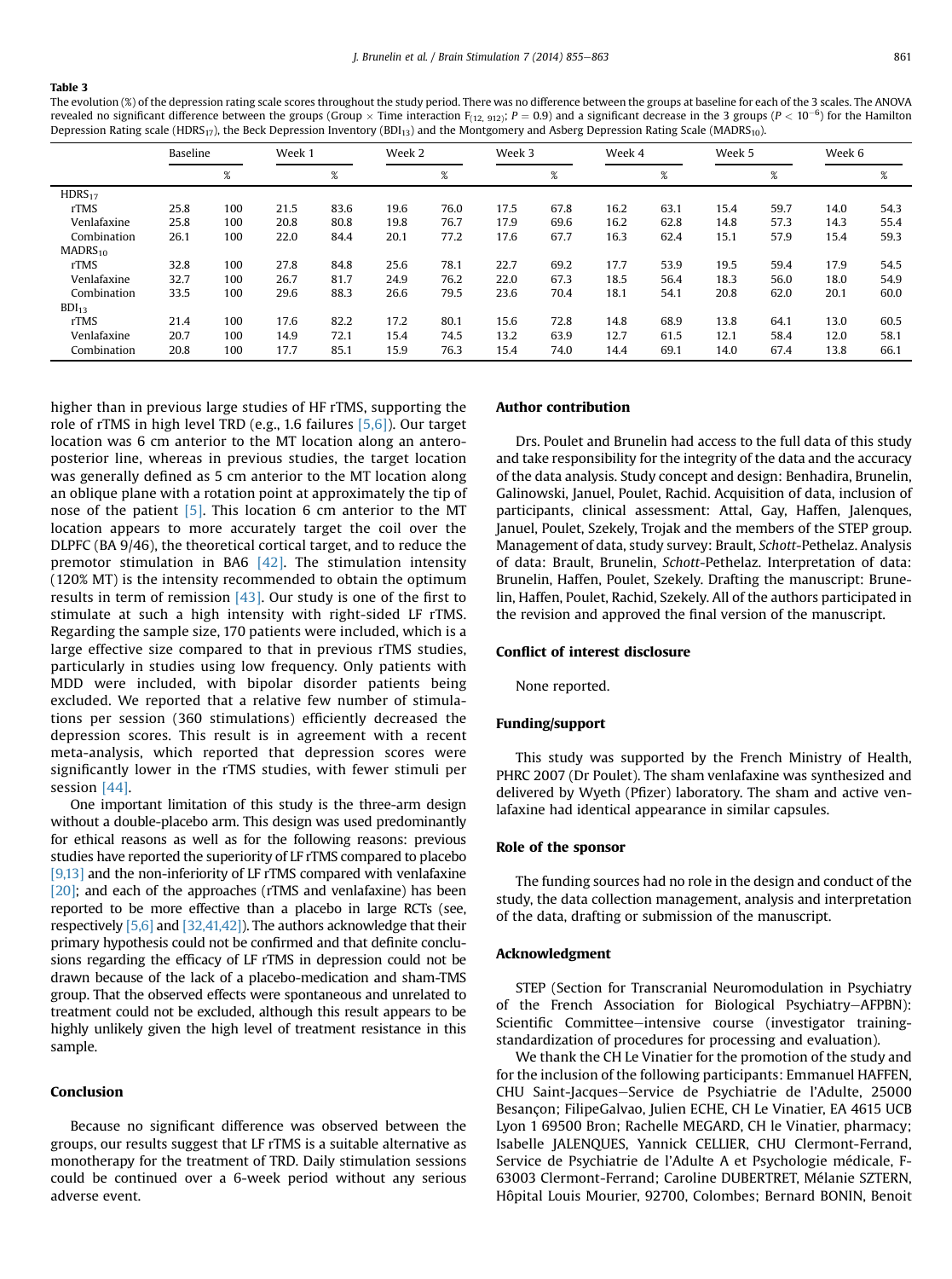#### <span id="page-6-0"></span>Table 3

The evolution (%) of the depression rating scale scores throughout the study period. There was no difference between the groups at baseline for each of the 3 scales. The ANOVA revealed no significant difference between the groups (Group  $\times$  Time interaction F<sub>(12, 912)</sub>;  $P=0.9$ ) and a significant decrease in the 3 groups (P  $<$  10<sup>-6</sup>) for the Hamilton Depression Rating scale (HDRS<sub>17</sub>), the Beck Depression Inventory (BDI<sub>13</sub>) and the Montgomery and Asberg Depression Rating Scale (MADRS<sub>10</sub>).

|                     | Baseline |      | Week 1 |      | Week 2 |      | Week 3 |      | Week 4 |      | Week 5 |      | Week 6 |      |
|---------------------|----------|------|--------|------|--------|------|--------|------|--------|------|--------|------|--------|------|
|                     |          | $\%$ |        | %    |        | $\%$ |        | %    |        | %    |        | %    |        | %    |
| HDRS <sub>17</sub>  |          |      |        |      |        |      |        |      |        |      |        |      |        |      |
| rTMS                | 25.8     | 100  | 21.5   | 83.6 | 19.6   | 76.0 | 17.5   | 67.8 | 16.2   | 63.1 | 15.4   | 59.7 | 14.0   | 54.3 |
| Venlafaxine         | 25.8     | 100  | 20.8   | 80.8 | 19.8   | 76.7 | 17.9   | 69.6 | 16.2   | 62.8 | 14.8   | 57.3 | 14.3   | 55.4 |
| Combination         | 26.1     | 100  | 22.0   | 84.4 | 20.1   | 77.2 | 17.6   | 67.7 | 16.3   | 62.4 | 15.1   | 57.9 | 15.4   | 59.3 |
| MADRS <sub>10</sub> |          |      |        |      |        |      |        |      |        |      |        |      |        |      |
| rTMS                | 32.8     | 100  | 27.8   | 84.8 | 25.6   | 78.1 | 22.7   | 69.2 | 17.7   | 53.9 | 19.5   | 59.4 | 17.9   | 54.5 |
| Venlafaxine         | 32.7     | 100  | 26.7   | 81.7 | 24.9   | 76.2 | 22.0   | 67.3 | 18.5   | 56.4 | 18.3   | 56.0 | 18.0   | 54.9 |
| Combination         | 33.5     | 100  | 29.6   | 88.3 | 26.6   | 79.5 | 23.6   | 70.4 | 18.1   | 54.1 | 20.8   | 62.0 | 20.1   | 60.0 |
| BDI <sub>13</sub>   |          |      |        |      |        |      |        |      |        |      |        |      |        |      |
| rTMS                | 21.4     | 100  | 17.6   | 82.2 | 17.2   | 80.1 | 15.6   | 72.8 | 14.8   | 68.9 | 13.8   | 64.1 | 13.0   | 60.5 |
| Venlafaxine         | 20.7     | 100  | 14.9   | 72.1 | 15.4   | 74.5 | 13.2   | 63.9 | 12.7   | 61.5 | 12.1   | 58.4 | 12.0   | 58.1 |
| Combination         | 20.8     | 100  | 17.7   | 85.1 | 15.9   | 76.3 | 15.4   | 74.0 | 14.4   | 69.1 | 14.0   | 67.4 | 13.8   | 66.1 |

higher than in previous large studies of HF rTMS, supporting the role of rTMS in high level TRD (e.g., 1.6 failures [\[5,6\]\)](#page-7-0). Our target location was 6 cm anterior to the MT location along an anteroposterior line, whereas in previous studies, the target location was generally defined as 5 cm anterior to the MT location along an oblique plane with a rotation point at approximately the tip of nose of the patient  $[5]$ . This location 6 cm anterior to the MT location appears to more accurately target the coil over the DLPFC (BA 9/46), the theoretical cortical target, and to reduce the premotor stimulation in BA6  $[42]$ . The stimulation intensity (120% MT) is the intensity recommended to obtain the optimum results in term of remission  $[43]$ . Our study is one of the first to stimulate at such a high intensity with right-sided LF rTMS. Regarding the sample size, 170 patients were included, which is a large effective size compared to that in previous rTMS studies, particularly in studies using low frequency. Only patients with MDD were included, with bipolar disorder patients being excluded. We reported that a relative few number of stimulations per session (360 stimulations) efficiently decreased the depression scores. This result is in agreement with a recent meta-analysis, which reported that depression scores were significantly lower in the rTMS studies, with fewer stimuli per session [\[44\].](#page-8-0)

One important limitation of this study is the three-arm design without a double-placebo arm. This design was used predominantly for ethical reasons as well as for the following reasons: previous studies have reported the superiority of LF rTMS compared to placebo [\[9,13\]](#page-7-0) and the non-inferiority of LF rTMS compared with venlafaxine [\[20\];](#page-7-0) and each of the approaches (rTMS and venlafaxine) has been reported to be more effective than a placebo in large RCTs (see, respectively [\[5,6\]](#page-7-0) and [\[32,41,42\]](#page-7-0)). The authors acknowledge that their primary hypothesis could not be confirmed and that definite conclusions regarding the efficacy of LF rTMS in depression could not be drawn because of the lack of a placebo-medication and sham-TMS group. That the observed effects were spontaneous and unrelated to treatment could not be excluded, although this result appears to be highly unlikely given the high level of treatment resistance in this sample.

## Conclusion

Because no significant difference was observed between the groups, our results suggest that LF rTMS is a suitable alternative as monotherapy for the treatment of TRD. Daily stimulation sessions could be continued over a 6-week period without any serious adverse event.

#### Author contribution

Drs. Poulet and Brunelin had access to the full data of this study and take responsibility for the integrity of the data and the accuracy of the data analysis. Study concept and design: Benhadira, Brunelin, Galinowski, Januel, Poulet, Rachid. Acquisition of data, inclusion of participants, clinical assessment: Attal, Gay, Haffen, Jalenques, Januel, Poulet, Szekely, Trojak and the members of the STEP group. Management of data, study survey: Brault, Schott-Pethelaz. Analysis of data: Brault, Brunelin, Schott-Pethelaz. Interpretation of data: Brunelin, Haffen, Poulet, Szekely. Drafting the manuscript: Brunelin, Haffen, Poulet, Rachid, Szekely. All of the authors participated in the revision and approved the final version of the manuscript.

#### Conflict of interest disclosure

None reported.

#### Funding/support

This study was supported by the French Ministry of Health, PHRC 2007 (Dr Poulet). The sham venlafaxine was synthesized and delivered by Wyeth (Pfizer) laboratory. The sham and active venlafaxine had identical appearance in similar capsules.

## Role of the sponsor

The funding sources had no role in the design and conduct of the study, the data collection management, analysis and interpretation of the data, drafting or submission of the manuscript.

#### Acknowledgment

STEP (Section for Transcranial Neuromodulation in Psychiatry of the French Association for Biological Psychiatry-AFPBN): Scientific Committee-intensive course (investigator trainingstandardization of procedures for processing and evaluation).

We thank the CH Le Vinatier for the promotion of the study and for the inclusion of the following participants: Emmanuel HAFFEN, CHU Saint-Jacques-Service de Psychiatrie de l'Adulte, 25000 Besançon; FilipeGalvao, Julien ECHE, CH Le Vinatier, EA 4615 UCB Lyon 1 69500 Bron; Rachelle MEGARD, CH le Vinatier, pharmacy; Isabelle JALENQUES, Yannick CELLIER, CHU Clermont-Ferrand, Service de Psychiatrie de l'Adulte A et Psychologie médicale, F-63003 Clermont-Ferrand; Caroline DUBERTRET, Mélanie SZTERN, Hôpital Louis Mourier, 92700, Colombes; Bernard BONIN, Benoit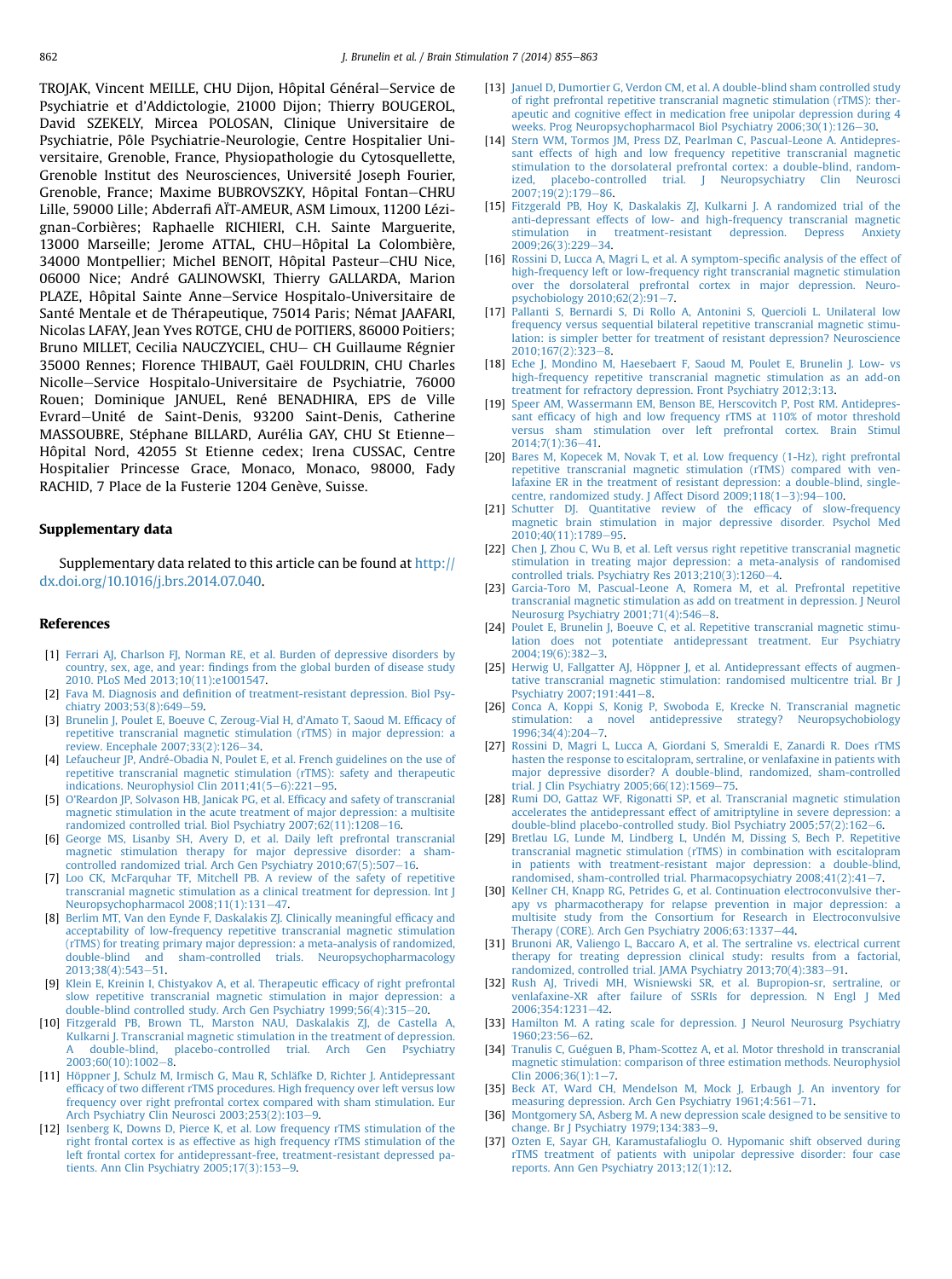<span id="page-7-0"></span>TROJAK, Vincent MEILLE, CHU Dijon, Hôpital Général–Service de Psychiatrie et d'Addictologie, 21000 Dijon; Thierry BOUGEROL, David SZEKELY, Mircea POLOSAN, Clinique Universitaire de Psychiatrie, Pôle Psychiatrie-Neurologie, Centre Hospitalier Universitaire, Grenoble, France, Physiopathologie du Cytosquellette, Grenoble Institut des Neurosciences, Université Joseph Fourier, Grenoble, France; Maxime BUBROVSZKY, Hôpital Fontan-CHRU Lille, 59000 Lille; Abderrafi AÏT-AMEUR, ASM Limoux, 11200 Lézignan-Corbières; Raphaelle RICHIERI, C.H. Sainte Marguerite, 13000 Marseille; Jerome ATTAL, CHU-Hôpital La Colombière, 34000 Montpellier; Michel BENOIT, Hôpital Pasteur–CHU Nice, 06000 Nice; André GALINOWSKI, Thierry GALLARDA, Marion PLAZE, Hôpital Sainte Anne-Service Hospitalo-Universitaire de Santé Mentale et de Thérapeutique, 75014 Paris; Némat JAAFARI, Nicolas LAFAY, Jean Yves ROTGE, CHU de POITIERS, 86000 Poitiers; Bruno MILLET, Cecilia NAUCZYCIEL, CHU- CH Guillaume Régnier 35000 Rennes; Florence THIBAUT, Gaël FOULDRIN, CHU Charles Nicolle-Service Hospitalo-Universitaire de Psychiatrie, 76000 Rouen; Dominique JANUEL, René BENADHIRA, EPS de Ville Evrard-Unité de Saint-Denis, 93200 Saint-Denis, Catherine MASSOUBRE, Stéphane BILLARD, Aurélia GAY, CHU St Etienne-Hôpital Nord, 42055 St Etienne cedex; Irena CUSSAC, Centre Hospitalier Princesse Grace, Monaco, Monaco, 98000, Fady RACHID, 7 Place de la Fusterie 1204 Genève, Suisse.

## Supplementary data

Supplementary data related to this article can be found at [http://](http://dx.doi.org/10.1016/j.brs.2014.07.040) [dx.doi.org/10.1016/j.brs.2014.07.040](http://dx.doi.org/10.1016/j.brs.2014.07.040).

#### References

- [1] [Ferrari AJ, Charlson FJ, Norman RE, et al. Burden of depressive disorders by](http://refhub.elsevier.com/S1935-861X(14)00269-1/sref1) country, sex, age, and year: fi[ndings from the global burden of disease study](http://refhub.elsevier.com/S1935-861X(14)00269-1/sref1) [2010. PLoS Med 2013;10\(11\):e1001547.](http://refhub.elsevier.com/S1935-861X(14)00269-1/sref1)
- [2] Fava M. Diagnosis and defi[nition of treatment-resistant depression. Biol Psy-](http://refhub.elsevier.com/S1935-861X(14)00269-1/sref2)chiatry 2003:53(8):649-[59](http://refhub.elsevier.com/S1935-861X(14)00269-1/sref2).
- [3] [Brunelin J, Poulet E, Boeuve C, Zeroug-Vial H, d](http://refhub.elsevier.com/S1935-861X(14)00269-1/sref3)'Amato T, Saoud M. Efficacy of [repetitive transcranial magnetic stimulation \(rTMS\) in major depression: a](http://refhub.elsevier.com/S1935-861X(14)00269-1/sref3) [review. Encephale 2007;33\(2\):126](http://refhub.elsevier.com/S1935-861X(14)00269-1/sref3)-[34](http://refhub.elsevier.com/S1935-861X(14)00269-1/sref3).
- [4] [Lefaucheur JP, André-Obadia N, Poulet E, et al. French guidelines on the use of](http://refhub.elsevier.com/S1935-861X(14)00269-1/sref4) [repetitive transcranial magnetic stimulation \(rTMS\): safety and therapeutic](http://refhub.elsevier.com/S1935-861X(14)00269-1/sref4) [indications. Neurophysiol Clin 2011;41\(5](http://refhub.elsevier.com/S1935-861X(14)00269-1/sref4)-6): $\overline{221-95}$  $\overline{221-95}$  $\overline{221-95}$ .
- [5] O'[Reardon JP, Solvason HB, Janicak PG, et al. Ef](http://refhub.elsevier.com/S1935-861X(14)00269-1/sref5)ficacy and safety of transcranial [magnetic stimulation in the acute treatment of major depression: a multisite](http://refhub.elsevier.com/S1935-861X(14)00269-1/sref5) [randomized controlled trial. Biol Psychiatry 2007;62\(11\):1208](http://refhub.elsevier.com/S1935-861X(14)00269-1/sref5)-[16](http://refhub.elsevier.com/S1935-861X(14)00269-1/sref5).
- [6] [George MS, Lisanby SH, Avery D, et al. Daily left prefrontal transcranial](http://refhub.elsevier.com/S1935-861X(14)00269-1/sref6) [magnetic stimulation therapy for major depressive disorder: a sham](http://refhub.elsevier.com/S1935-861X(14)00269-1/sref6)controlled randomized trial. Arch Gen Psychiatry  $2010;67(5):507-16$ .
- [7] [Loo CK, McFarquhar TF, Mitchell PB. A review of the safety of repetitive](http://refhub.elsevier.com/S1935-861X(14)00269-1/sref7) [transcranial magnetic stimulation as a clinical treatment for depression. Int J](http://refhub.elsevier.com/S1935-861X(14)00269-1/sref7) [Neuropsychopharmacol 2008;11\(1\):131](http://refhub.elsevier.com/S1935-861X(14)00269-1/sref7)-[47](http://refhub.elsevier.com/S1935-861X(14)00269-1/sref7).
- [8] [Berlim MT, Van den Eynde F, Daskalakis ZJ. Clinically meaningful ef](http://refhub.elsevier.com/S1935-861X(14)00269-1/sref8)ficacy and [acceptability of low-frequency repetitive transcranial magnetic stimulation](http://refhub.elsevier.com/S1935-861X(14)00269-1/sref8) [\(rTMS\) for treating primary major depression: a meta-analysis of randomized,](http://refhub.elsevier.com/S1935-861X(14)00269-1/sref8) [double-blind and sham-controlled trials. Neuropsychopharmacology](http://refhub.elsevier.com/S1935-861X(14)00269-1/sref8) 2013:38(4):543-[51.](http://refhub.elsevier.com/S1935-861X(14)00269-1/sref8)
- [9] [Klein E, Kreinin I, Chistyakov A, et al. Therapeutic ef](http://refhub.elsevier.com/S1935-861X(14)00269-1/sref9)ficacy of right prefrontal [slow repetitive transcranial magnetic stimulation in major depression: a](http://refhub.elsevier.com/S1935-861X(14)00269-1/sref9) [double-blind controlled study. Arch Gen Psychiatry 1999;56\(4\):315](http://refhub.elsevier.com/S1935-861X(14)00269-1/sref9)-[20.](http://refhub.elsevier.com/S1935-861X(14)00269-1/sref9)
- [10] [Fitzgerald PB, Brown TL, Marston NAU, Daskalakis ZJ, de Castella A,](http://refhub.elsevier.com/S1935-861X(14)00269-1/sref10) [Kulkarni J. Transcranial magnetic stimulation in the treatment of depression.](http://refhub.elsevier.com/S1935-861X(14)00269-1/sref10) double-blind, placebo-controlled trial. Arch Gen Psychiatry  $2003:60(10):1002-8.$  $2003:60(10):1002-8.$
- [11] [Höppner J, Schulz M, Irmisch G, Mau R, Schläfke D, Richter J. Antidepressant](http://refhub.elsevier.com/S1935-861X(14)00269-1/sref11) effi[cacy of two different rTMS procedures. High frequency over left versus low](http://refhub.elsevier.com/S1935-861X(14)00269-1/sref11) [frequency over right prefrontal cortex compared with sham stimulation. Eur](http://refhub.elsevier.com/S1935-861X(14)00269-1/sref11) [Arch Psychiatry Clin Neurosci 2003;253\(2\):103](http://refhub.elsevier.com/S1935-861X(14)00269-1/sref11)-[9.](http://refhub.elsevier.com/S1935-861X(14)00269-1/sref11)
- [12] [Isenberg K, Downs D, Pierce K, et al. Low frequency rTMS stimulation of the](http://refhub.elsevier.com/S1935-861X(14)00269-1/sref12) [right frontal cortex is as effective as high frequency rTMS stimulation of the](http://refhub.elsevier.com/S1935-861X(14)00269-1/sref12) [left frontal cortex for antidepressant-free, treatment-resistant depressed pa](http://refhub.elsevier.com/S1935-861X(14)00269-1/sref12)tients. Ann Clin Psychiatry  $2005;17(3):153-9$  $2005;17(3):153-9$ .
- [13] [Januel D, Dumortier G, Verdon CM, et al. A double-blind sham controlled study](http://refhub.elsevier.com/S1935-861X(14)00269-1/sref13) [of right prefrontal repetitive transcranial magnetic stimulation \(rTMS\): ther](http://refhub.elsevier.com/S1935-861X(14)00269-1/sref13)[apeutic and cognitive effect in medication free unipolar depression during 4](http://refhub.elsevier.com/S1935-861X(14)00269-1/sref13) weeks. Prog Neuropsychopharmacol Biol Psychiatry  $2006;30(1):126-30.$  $2006;30(1):126-30.$  $2006;30(1):126-30.$
- [14] [Stern WM, Tormos JM, Press DZ, Pearlman C, Pascual-Leone A. Antidepres](http://refhub.elsevier.com/S1935-861X(14)00269-1/sref14)[sant effects of high and low frequency repetitive transcranial magnetic](http://refhub.elsevier.com/S1935-861X(14)00269-1/sref14) [stimulation to the dorsolateral prefrontal cortex: a double-blind, random](http://refhub.elsevier.com/S1935-861X(14)00269-1/sref14)[ized, placebo-controlled trial. J Neuropsychiatry Clin Neurosci](http://refhub.elsevier.com/S1935-861X(14)00269-1/sref14) 2007:19(2):179-[86.](http://refhub.elsevier.com/S1935-861X(14)00269-1/sref14)
- [15] [Fitzgerald PB, Hoy K, Daskalakis ZJ, Kulkarni J. A randomized trial of the](http://refhub.elsevier.com/S1935-861X(14)00269-1/sref15) [anti-depressant effects of low- and high-frequency transcranial magnetic](http://refhub.elsevier.com/S1935-861X(14)00269-1/sref15) [stimulation in treatment-resistant depression. Depress Anxiety](http://refhub.elsevier.com/S1935-861X(14)00269-1/sref15) [2009;26\(3\):229](http://refhub.elsevier.com/S1935-861X(14)00269-1/sref15)-[34.](http://refhub.elsevier.com/S1935-861X(14)00269-1/sref15)
- [16] [Rossini D, Lucca A, Magri L, et al. A symptom-speci](http://refhub.elsevier.com/S1935-861X(14)00269-1/sref16)fic analysis of the effect of [high-frequency left or low-frequency right transcranial magnetic stimulation](http://refhub.elsevier.com/S1935-861X(14)00269-1/sref16) [over the dorsolateral prefrontal cortex in major depression. Neuro](http://refhub.elsevier.com/S1935-861X(14)00269-1/sref16)psychobiology  $2010;62(2):91-7$ .
- [17] [Pallanti S, Bernardi S, Di Rollo A, Antonini S, Quercioli L. Unilateral low](http://refhub.elsevier.com/S1935-861X(14)00269-1/sref17) [frequency versus sequential bilateral repetitive transcranial magnetic stimu](http://refhub.elsevier.com/S1935-861X(14)00269-1/sref17)[lation: is simpler better for treatment of resistant depression? Neuroscience](http://refhub.elsevier.com/S1935-861X(14)00269-1/sref17)  $2010:167(2):323-8$ .
- [18] [Eche J, Mondino M, Haesebaert F, Saoud M, Poulet E, Brunelin J. Low- vs](http://refhub.elsevier.com/S1935-861X(14)00269-1/sref18) [high-frequency repetitive transcranial magnetic stimulation as an add-on](http://refhub.elsevier.com/S1935-861X(14)00269-1/sref18) [treatment for refractory depression. Front Psychiatry 2012;3:13.](http://refhub.elsevier.com/S1935-861X(14)00269-1/sref18)
- [19] [Speer AM, Wassermann EM, Benson BE, Herscovitch P, Post RM. Antidepres](http://refhub.elsevier.com/S1935-861X(14)00269-1/sref19)sant effi[cacy of high and low frequency rTMS at 110% of motor threshold](http://refhub.elsevier.com/S1935-861X(14)00269-1/sref19) [versus sham stimulation over left prefrontal cortex. Brain Stimul](http://refhub.elsevier.com/S1935-861X(14)00269-1/sref19) [2014;7\(1\):36](http://refhub.elsevier.com/S1935-861X(14)00269-1/sref19)-[41](http://refhub.elsevier.com/S1935-861X(14)00269-1/sref19).
- [20] [Bares M, Kopecek M, Novak T, et al. Low frequency \(1-Hz\), right prefrontal](http://refhub.elsevier.com/S1935-861X(14)00269-1/sref20) [repetitive transcranial magnetic stimulation \(rTMS\) compared with ven](http://refhub.elsevier.com/S1935-861X(14)00269-1/sref20)[lafaxine ER in the treatment of resistant depression: a double-blind, single](http://refhub.elsevier.com/S1935-861X(14)00269-1/sref20)centre, randomized study. J Affect Disord  $2009;118(1-3):94-100$  $2009;118(1-3):94-100$  $2009;118(1-3):94-100$  $2009;118(1-3):94-100$ .
- [21] [Schutter DJ. Quantitative review of the ef](http://refhub.elsevier.com/S1935-861X(14)00269-1/sref21)ficacy of slow-frequency [magnetic brain stimulation in major depressive disorder. Psychol Med](http://refhub.elsevier.com/S1935-861X(14)00269-1/sref21) [2010;40\(11\):1789](http://refhub.elsevier.com/S1935-861X(14)00269-1/sref21)-[95](http://refhub.elsevier.com/S1935-861X(14)00269-1/sref21).
- [22] [Chen J, Zhou C, Wu B, et al. Left versus right repetitive transcranial magnetic](http://refhub.elsevier.com/S1935-861X(14)00269-1/sref22) [stimulation in treating major depression: a meta-analysis of randomised](http://refhub.elsevier.com/S1935-861X(14)00269-1/sref22) controlled trials. Psychiatry Res  $2013;210(3):1260-4$ .
- [23] [Garcia-Toro M, Pascual-Leone A, Romera M, et al. Prefrontal repetitive](http://refhub.elsevier.com/S1935-861X(14)00269-1/sref23) [transcranial magnetic stimulation as add on treatment in depression. J Neurol](http://refhub.elsevier.com/S1935-861X(14)00269-1/sref23) [Neurosurg Psychiatry 2001;71\(4\):546](http://refhub.elsevier.com/S1935-861X(14)00269-1/sref23)-[8](http://refhub.elsevier.com/S1935-861X(14)00269-1/sref23).
- [24] [Poulet E, Brunelin J, Boeuve C, et al. Repetitive transcranial magnetic stimu](http://refhub.elsevier.com/S1935-861X(14)00269-1/sref24)[lation does not potentiate antidepressant treatment. Eur Psychiatry](http://refhub.elsevier.com/S1935-861X(14)00269-1/sref24)  $2004:19(6):382-3.$  $2004:19(6):382-3.$
- [25] [Herwig U, Fallgatter AJ, Höppner J, et al. Antidepressant effects of augmen](http://refhub.elsevier.com/S1935-861X(14)00269-1/sref25)[tative transcranial magnetic stimulation: randomised multicentre trial. Br J](http://refhub.elsevier.com/S1935-861X(14)00269-1/sref25) [Psychiatry 2007;191:441](http://refhub.elsevier.com/S1935-861X(14)00269-1/sref25)-[8.](http://refhub.elsevier.com/S1935-861X(14)00269-1/sref25)
- [26] [Conca A, Koppi S, Konig P, Swoboda E, Krecke N. Transcranial magnetic](http://refhub.elsevier.com/S1935-861X(14)00269-1/sref26) [stimulation: a novel antidepressive strategy? Neuropsychobiology](http://refhub.elsevier.com/S1935-861X(14)00269-1/sref26) [1996;34\(4\):204](http://refhub.elsevier.com/S1935-861X(14)00269-1/sref26)-[7.](http://refhub.elsevier.com/S1935-861X(14)00269-1/sref26)
- [27] [Rossini D, Magri L, Lucca A, Giordani S, Smeraldi E, Zanardi R. Does rTMS](http://refhub.elsevier.com/S1935-861X(14)00269-1/sref27) [hasten the response to escitalopram, sertraline, or venlafaxine in patients with](http://refhub.elsevier.com/S1935-861X(14)00269-1/sref27) [major depressive disorder? A double-blind, randomized, sham-controlled](http://refhub.elsevier.com/S1935-861X(14)00269-1/sref27) trial. J Clin Psychiatry  $2005;66(12):1569-75$  $2005;66(12):1569-75$ .
- [28] [Rumi DO, Gattaz WF, Rigonatti SP, et al. Transcranial magnetic stimulation](http://refhub.elsevier.com/S1935-861X(14)00269-1/sref28) [accelerates the antidepressant effect of amitriptyline in severe depression: a](http://refhub.elsevier.com/S1935-861X(14)00269-1/sref28) [double-blind placebo-controlled study. Biol Psychiatry 2005;57\(2\):162](http://refhub.elsevier.com/S1935-861X(14)00269-1/sref28)-[6](http://refhub.elsevier.com/S1935-861X(14)00269-1/sref28).
- [29] [Bretlau LG, Lunde M, Lindberg L, Undén M, Dissing S, Bech P. Repetitive](http://refhub.elsevier.com/S1935-861X(14)00269-1/sref29) [transcranial magnetic stimulation \(rTMS\) in combination with escitalopram](http://refhub.elsevier.com/S1935-861X(14)00269-1/sref29) [in patients with treatment-resistant major depression: a double-blind,](http://refhub.elsevier.com/S1935-861X(14)00269-1/sref29) randomised, sham-controlled trial. Pharmacopsychiatry  $2008;41(2):41-7$  $2008;41(2):41-7$ .
- [30] [Kellner CH, Knapp RG, Petrides G, et al. Continuation electroconvulsive ther](http://refhub.elsevier.com/S1935-861X(14)00269-1/sref30)[apy vs pharmacotherapy for relapse prevention in major depression: a](http://refhub.elsevier.com/S1935-861X(14)00269-1/sref30) [multisite study from the Consortium for Research in Electroconvulsive](http://refhub.elsevier.com/S1935-861X(14)00269-1/sref30) [Therapy \(CORE\). Arch Gen Psychiatry 2006;63:1337](http://refhub.elsevier.com/S1935-861X(14)00269-1/sref30)-[44](http://refhub.elsevier.com/S1935-861X(14)00269-1/sref30).
- [31] [Brunoni AR, Valiengo L, Baccaro A, et al. The sertraline vs. electrical current](http://refhub.elsevier.com/S1935-861X(14)00269-1/sref31) [therapy for treating depression clinical study: results from a factorial,](http://refhub.elsevier.com/S1935-861X(14)00269-1/sref31) [randomized, controlled trial. JAMA Psychiatry 2013;70\(4\):383](http://refhub.elsevier.com/S1935-861X(14)00269-1/sref31)-[91.](http://refhub.elsevier.com/S1935-861X(14)00269-1/sref31)
- [32] [Rush AJ, Trivedi MH, Wisniewski SR, et al. Bupropion-sr, sertraline, or](http://refhub.elsevier.com/S1935-861X(14)00269-1/sref32) [venlafaxine-XR after failure of SSRIs for depression. N Engl J Med](http://refhub.elsevier.com/S1935-861X(14)00269-1/sref32) [2006;354:1231](http://refhub.elsevier.com/S1935-861X(14)00269-1/sref32)-[42.](http://refhub.elsevier.com/S1935-861X(14)00269-1/sref32)
- [33] [Hamilton M. A rating scale for depression. J Neurol Neurosurg Psychiatry](http://refhub.elsevier.com/S1935-861X(14)00269-1/sref33) 1960:23:56-[62](http://refhub.elsevier.com/S1935-861X(14)00269-1/sref33).
- [34] [Tranulis C, Guéguen B, Pham-Scottez A, et al. Motor threshold in transcranial](http://refhub.elsevier.com/S1935-861X(14)00269-1/sref34) [magnetic stimulation: comparison of three estimation methods. Neurophysiol](http://refhub.elsevier.com/S1935-861X(14)00269-1/sref34) Clin  $2006:36(1):1-7$  $2006:36(1):1-7$ .
- [35] [Beck AT, Ward CH, Mendelson M, Mock J, Erbaugh J. An inventory for](http://refhub.elsevier.com/S1935-861X(14)00269-1/sref35) [measuring depression. Arch Gen Psychiatry 1961;4:561](http://refhub.elsevier.com/S1935-861X(14)00269-1/sref35)-[71](http://refhub.elsevier.com/S1935-861X(14)00269-1/sref35).
- [36] [Montgomery SA, Asberg M. A new depression scale designed to be sensitive to](http://refhub.elsevier.com/S1935-861X(14)00269-1/sref36) [change. Br J Psychiatry 1979;134:383](http://refhub.elsevier.com/S1935-861X(14)00269-1/sref36)-[9.](http://refhub.elsevier.com/S1935-861X(14)00269-1/sref36)
- [37] [Ozten E, Sayar GH, Karamustafalioglu O. Hypomanic shift observed during](http://refhub.elsevier.com/S1935-861X(14)00269-1/sref37) [rTMS treatment of patients with unipolar depressive disorder: four case](http://refhub.elsevier.com/S1935-861X(14)00269-1/sref37) [reports. Ann Gen Psychiatry 2013;12\(1\):12](http://refhub.elsevier.com/S1935-861X(14)00269-1/sref37).